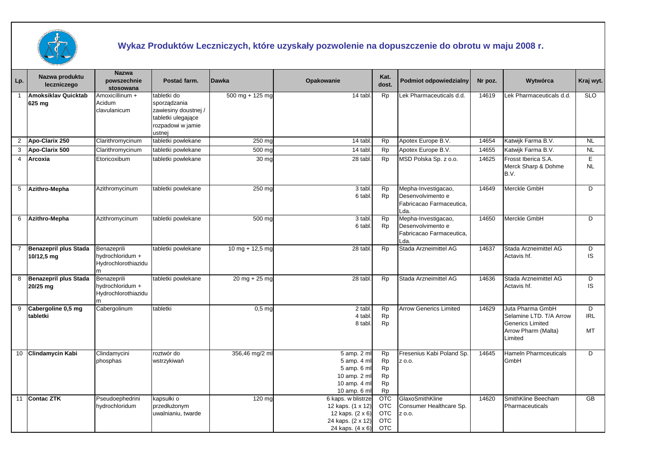

## **Wykaz Produktów Leczniczych, które uzyskały pozwolenie na dopuszczenie do obrotu w maju 2008 r.**

| Lp.            | Nazwa produktu<br>leczniczego        | <b>Nazwa</b><br>powszechnie<br>stosowana               | Postać farm.                                                                                             | Dawka             | Opakowanie                                                                                           | Kat.<br>dost.                                                      | Podmiot odpowiedzialny                                                       | Nr poz. | Wytwórca                                                                                                 | Kraj wyt.      |
|----------------|--------------------------------------|--------------------------------------------------------|----------------------------------------------------------------------------------------------------------|-------------------|------------------------------------------------------------------------------------------------------|--------------------------------------------------------------------|------------------------------------------------------------------------------|---------|----------------------------------------------------------------------------------------------------------|----------------|
|                | <b>Amoksiklav Quicktab</b><br>625 mg | Amoxicillinum +<br>Acidum<br>clavulanicum              | tabletki do<br>sporządzania<br>zawiesiny doustnej /<br>tabletki ulegające<br>rozpadowi w jamie<br>ustnej | $500$ mg + 125 mg | 14 tabl                                                                                              | <b>Rp</b>                                                          | Lek Pharmaceuticals d.d.                                                     | 14619   | Lek Pharmaceuticals d.d.                                                                                 | <b>SLO</b>     |
| $\overline{2}$ | Apo-Clarix 250                       | Clarithromycinum                                       | tabletki powlekane                                                                                       | 250 mg            | 14 tabl                                                                                              | <b>Rp</b>                                                          | Apotex Europe B.V.                                                           | 14654   | Katwijk Farma B.V.                                                                                       | <b>NL</b>      |
| 3              | Apo-Clarix 500                       | Clarithromycinum                                       | tabletki powlekane                                                                                       | 500 mc            | 14 tabl.                                                                                             | <b>Rp</b>                                                          | Apotex Europe B.V.                                                           | 14655   | Katwijk Farma B.V.                                                                                       | <b>NL</b>      |
| $\overline{4}$ | Arcoxia                              | Etoricoxibum                                           | tabletki powlekane                                                                                       | 30 mg             | 28 tabl.                                                                                             | <b>Rp</b>                                                          | MSD Polska Sp. z o.o.                                                        | 14625   | Frosst Iberica S.A.<br>Merck Sharp & Dohme<br>B.V.                                                       | E<br><b>NL</b> |
|                | 5 Azithro-Mepha                      | Azithromycinum                                         | tabletki powlekane                                                                                       | 250 mg            | 3 tabl.<br>6 tabl.                                                                                   | <b>Rp</b><br><b>Rp</b>                                             | Mepha-Investigacao,<br>Desenvolvimento e<br>Fabricacao Farmaceutica,<br>Lda. | 14649   | Merckle GmbH                                                                                             | D              |
| 6              | Azithro-Mepha                        | Azithromycinum                                         | tabletki powlekane                                                                                       | 500 mg            | 3 tabl<br>6 tabl.                                                                                    | Rp<br><b>Rp</b>                                                    | Mepha-Investigacao,<br>Desenvolvimento e<br>Fabricacao Farmaceutica,<br>Lda. | 14650   | Merckle GmbH                                                                                             | D              |
|                | Benazepril plus Stada<br>10/12,5 mg  | Benazeprili<br>hydrochloridum +<br>Hydrochlorothiazidu | tabletki powlekane                                                                                       | $10$ mg + 12,5 mg | 28 tabl                                                                                              | <b>Rp</b>                                                          | Stada Arzneimittel AG                                                        | 14637   | Stada Arzneimittel AG<br>Actavis hf.                                                                     | D<br>IS.       |
|                | 8 Benazepril plus Stada<br>20/25 mg  | Benazeprili<br>hydrochloridum +<br>Hydrochlorothiazidu | tabletki powlekane                                                                                       | $20$ mg + 25 mg   | 28 tabl.                                                                                             | <b>Rp</b>                                                          | Stada Arzneimittel AG                                                        | 14636   | Stada Arzneimittel AG<br>Actavis hf.                                                                     | D<br>IS        |
| 9              | Cabergoline 0,5 mg<br>tabletki       | Cabergolinum                                           | tabletki                                                                                                 | 0.5 <sub>mg</sub> | 2 tabl.<br>4 tabl.<br>8 tabl.                                                                        | <b>Rp</b><br><b>Rp</b><br>Rp                                       | <b>Arrow Generics Limited</b>                                                | 14629   | Juta Pharma GmbH<br>Selamine LTD. T/A Arrow<br><b>Generics Limited</b><br>Arrow Pharm (Malta)<br>Limited | D<br>IRL<br>MT |
|                | 10 Clindamycin Kabi                  | Clindamycini<br>phosphas                               | roztwór do<br>wstrzykiwań                                                                                | 356,46 mg/2 ml    | 5 amp. 2 ml<br>5 amp. 4 ml<br>5 amp. 6 ml<br>10 amp. 2 ml<br>10 amp. 4 ml<br>10 amp. 6 ml            | <b>Rp</b><br><b>Rp</b><br>Rp<br><b>Rp</b><br>Rp<br>Rp              | Fresenius Kabi Poland Sp.<br>Z 0.0.                                          | 14645   | <b>Hameln Pharmceuticals</b><br>GmbH                                                                     | D              |
|                | 11 Contac ZTK                        | Pseudoephedrini<br>hydrochloridum                      | kapsułki o<br>przedłużonym<br>uwalnianiu, twarde                                                         | 120 mg            | 6 kaps. w blistrze<br>12 kaps. (1 x 12)<br>12 kaps. (2 x 6)<br>24 kaps. (2 x 12)<br>24 kaps. (4 x 6) | <b>OTC</b><br><b>OTC</b><br><b>OTC</b><br><b>OTC</b><br><b>OTC</b> | GlaxoSmithKline<br>Consumer Healthcare Sp.<br>Z 0.0.                         | 14620   | SmithKline Beecham<br>Pharmaceuticals                                                                    | <b>GB</b>      |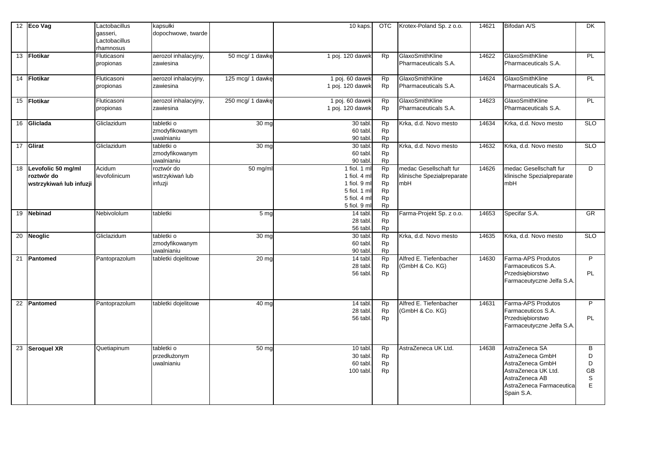|    | 12 Eco Vag                                                     | Lactobacillus<br>qasseri,<br>Lactobacillus<br>rhamnosus | kapsułki<br>dopochwowe, twarde             |                    | 10 kaps.                                                                                     | <b>OTC</b>                                                   | Krotex-Poland Sp. z o.o.                                    | 14621 | Bifodan A/S                                                                                                                               | DK                          |
|----|----------------------------------------------------------------|---------------------------------------------------------|--------------------------------------------|--------------------|----------------------------------------------------------------------------------------------|--------------------------------------------------------------|-------------------------------------------------------------|-------|-------------------------------------------------------------------------------------------------------------------------------------------|-----------------------------|
|    | 13 Flotikar                                                    | Fluticasoni<br>propionas                                | aerozol inhalacyjny,<br>zawiesina          | 50 mcg/ 1 dawkę    | 1 poj. 120 dawek                                                                             | <b>Rp</b>                                                    | GlaxoSmithKline<br>Pharmaceuticals S.A.                     | 14622 | GlaxoSmithKline<br>Pharmaceuticals S.A.                                                                                                   | PL                          |
|    | 14 Flotikar                                                    | Fluticasoni<br>propionas                                | aerozol inhalacyjny,<br>zawiesina          | 125 mcg/ 1 dawkę   | 1 poj. 60 dawek<br>1 poj. 120 dawek                                                          | <b>Rp</b><br>Rp                                              | GlaxoSmithKline<br>Pharmaceuticals S.A.                     | 14624 | GlaxoSmithKline<br>Pharmaceuticals S.A.                                                                                                   | PL                          |
|    | 15 Flotikar                                                    | Fluticasoni<br>propionas                                | aerozol inhalacyjny,<br>zawiesina          | 250 mcg/ 1 dawkę   | 1 poj. 60 dawek<br>1 poj. 120 dawek                                                          | <b>Rp</b><br><b>Rp</b>                                       | GlaxoSmithKline<br>Pharmaceuticals S.A.                     | 14623 | GlaxoSmithKline<br>Pharmaceuticals S.A.                                                                                                   | <b>PL</b>                   |
|    | 16 Gliclada                                                    | Gliclazidum                                             | tabletki o<br>zmodyfikowanym<br>uwalnianiu | $\overline{30}$ mg | 30 tabl<br>60 tabl<br>90 tabl                                                                | <b>Rp</b><br>Rp<br>Rp                                        | Krka, d.d. Novo mesto                                       | 14634 | Krka, d.d. Novo mesto                                                                                                                     | SLO                         |
|    | 17 Glirat                                                      | Gliclazidum                                             | tabletki o<br>zmodyfikowanym<br>uwalnianiu | 30 mg              | 30 tabl<br>60 tabl.<br>90 tabl.                                                              | <b>Rp</b><br>Rp<br><b>Rp</b>                                 | Krka, d.d. Novo mesto                                       | 14632 | Krka, d.d. Novo mesto                                                                                                                     | <b>SLO</b>                  |
|    | 18 Levofolic 50 mg/ml<br>roztwór do<br>wstrzykiwań lub infuzji | Acidum<br>levofolinicum                                 | roztwór do<br>wstrzykiwań lub<br>infuzji   | 50 mg/m            | 1 fiol. 1 ml<br>1 fiol. 4 ml<br>1 fiol. 9 ml<br>5 fiol. 1 ml<br>5 fiol. 4 ml<br>5 fiol. 9 ml | Rp<br><b>Rp</b><br>Rp<br><b>Rp</b><br><b>Rp</b><br><b>Rp</b> | medac Gesellschaft fur<br>klinische Spezialpreparate<br>mbH | 14626 | medac Gesellschaft fur<br>klinische Spezialpreparate<br>mbH                                                                               | D                           |
|    | 19 Nebinad                                                     | Nebivololum                                             | tabletki                                   | 5 <sub>mg</sub>    | 14 tabl<br>28 tabl.<br>56 tabl                                                               | Rp<br><b>Rp</b><br>Rp                                        | Farma-Projekt Sp. z o.o.                                    | 14653 | Specifar S.A.                                                                                                                             | GR                          |
|    | 20 Neoglic                                                     | Gliclazidum                                             | tabletki o<br>zmodyfikowanym<br>uwalnianiu | 30 mg              | 30 tabl<br>60 tabl<br>90 tabl                                                                | <b>Rp</b><br>Rp<br><b>Rp</b>                                 | Krka, d.d. Novo mesto                                       | 14635 | Krka, d.d. Novo mesto                                                                                                                     | SLO                         |
| 21 | Pantomed                                                       | Pantoprazolum                                           | tabletki dojelitowe                        | 20 <sub>mg</sub>   | $\overline{1}4$ tabl<br>28 tabl.<br>56 tabl.                                                 | <b>Rp</b><br>Rp<br>Rp                                        | Alfred E. Tiefenbacher<br>(GmbH & Co. KG)                   | 14630 | Farma-APS Produtos<br>Farmaceuticos S.A.<br>Przedsiębiorstwo<br>Farmaceutyczne Jelfa S.A.                                                 | P<br>PL                     |
|    | 22 Pantomed                                                    | Pantoprazolum                                           | tabletki dojelitowe                        | 40 <sub>mg</sub>   | 14 tabl.<br>28 tabl.<br>56 tabl.                                                             | <b>Rp</b><br>Rp<br><b>Rp</b>                                 | Alfred E. Tiefenbacher<br>(GmbH & Co. KG)                   | 14631 | Farma-APS Produtos<br>Farmaceuticos S.A.<br>Przedsiębiorstwo<br>Farmaceutyczne Jelfa S.A.                                                 | P<br>PL                     |
|    | 23 Seroquel XR                                                 | Quetiapinum                                             | tabletki o<br>przedłużonym<br>uwalnianiu   | 50 mg              | 10 tabl.<br>30 tabl.<br>60 tabl.<br>100 tabl.                                                | Rp<br>Rp<br>Rp<br><b>Rp</b>                                  | AstraZeneca UK Ltd.                                         | 14638 | AstraZeneca SA<br>AstraZeneca GmbH<br>AstraZeneca GmbH<br>AstraZeneca UK Ltd.<br>AstraZeneca AB<br>AstraZeneca Farmaceutica<br>Spain S.A. | B<br>D<br>D<br>GB<br>S<br>E |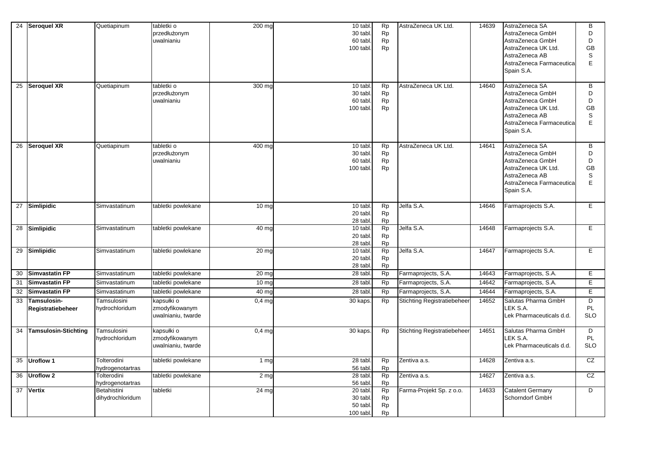|    | 24 Seroquel XR                   | Quetiapinum                     | tabletki o<br>przedłużonym<br>uwalnianiu           | 200 mg           | 10 tabl.<br>30 tabl.<br>60 tabl.<br>100 tabl. | <b>Rp</b><br>Rp<br><b>Rp</b><br><b>Rp</b>        | AstraZeneca UK Ltd.                | 14639 | AstraZeneca SA<br>AstraZeneca GmbH<br>AstraZeneca GmbH<br>AstraZeneca UK Ltd.<br>AstraZeneca AB<br>AstraZeneca Farmaceutica<br>Spain S.A. | B<br>D<br>D<br>GB<br>S<br>E        |
|----|----------------------------------|---------------------------------|----------------------------------------------------|------------------|-----------------------------------------------|--------------------------------------------------|------------------------------------|-------|-------------------------------------------------------------------------------------------------------------------------------------------|------------------------------------|
|    | 25 Seroquel XR                   | Quetiapinum                     | tabletki o<br>przedłużonym<br>uwalnianiu           | 300 mg           | 10 tabl.<br>30 tabl.<br>60 tabl.<br>100 tabl. | <b>Rp</b><br><b>Rp</b><br>Rp<br><b>Rp</b>        | AstraZeneca UK Ltd.                | 14640 | AstraZeneca SA<br>AstraZeneca GmbH<br>AstraZeneca GmbH<br>AstraZeneca UK Ltd.<br>AstraZeneca AB<br>AstraZeneca Farmaceutica<br>Spain S.A. | B<br>D<br>D<br>GB<br>S<br>E        |
|    | 26 Seroquel XR                   | Quetiapinum                     | tabletki o<br>przedłużonym<br>uwalnianiu           | 400 mg           | 10 tabl<br>30 tabl.<br>60 tabl.<br>100 tabl.  | <b>Rp</b><br><b>Rp</b><br><b>Rp</b><br><b>Rp</b> | AstraZeneca UK Ltd.                | 14641 | AstraZeneca SA<br>AstraZeneca GmbH<br>AstraZeneca GmbH<br>AstraZeneca UK Ltd.<br>AstraZeneca AB<br>AstraZeneca Farmaceutica<br>Spain S.A. | B<br>D<br>D<br>GB<br>S<br>E        |
|    | 27 Simlipidic                    | Simvastatinum                   | tabletki powlekane                                 | 10 <sub>mg</sub> | 10 tabl.<br>20 tabl.<br>28 tabl               | <b>Rp</b><br><b>Rp</b><br>Rp                     | Jelfa S.A.                         | 14646 | Farmaprojects S.A.                                                                                                                        | E.                                 |
|    | 28 Simlipidic                    | Simvastatinum                   | tabletki powlekane                                 | 40 mg            | 10 tabl.<br>20 tabl.<br>28 tabl               | <b>Rp</b><br><b>Rp</b><br><b>Rp</b>              | Jelfa S.A.                         | 14648 | Farmaprojects S.A.                                                                                                                        | Е                                  |
|    | 29 Simlipidic                    | Simvastatinum                   | tabletki powlekane                                 | 20 mc            | 10 tabl.<br>20 tabl.<br>28 tabl               | <b>Rp</b><br><b>Rp</b><br><b>Rp</b>              | Jelfa S.A.                         | 14647 | Farmaprojects S.A.                                                                                                                        | E                                  |
| 30 | <b>Simvastatin FP</b>            | Simvastatinum                   | tabletki powlekane                                 | 20 mo            | $28$ tabl                                     | <b>Rp</b>                                        | Farmaprojects, S.A.                | 14643 | Farmaprojects, S.A.                                                                                                                       | Е                                  |
| 31 | <b>Simvastatin FP</b>            | Simvastatinum                   | tabletki powlekane                                 | 10 mo            | 28 tabl                                       | <b>Rp</b>                                        | Farmaprojects, S.A.                | 14642 | Farmaprojects, S.A.                                                                                                                       | Ε                                  |
| 32 | <b>Simvastatin FP</b>            | Simvastatinum                   | tabletki powlekane                                 | 40 mg            | 28 tabl                                       | <b>Rp</b>                                        | Farmaprojects, S.A.                | 14644 | Farmaprojects, S.A.                                                                                                                       | Е                                  |
| 33 | Tamsulosin-<br>Registratiebeheer | Tamsulosini<br>hydrochloridum   | kapsułki o<br>zmodyfikowanym<br>uwalnianiu, twarde | $0,4$ mg         | 30 kaps.                                      | <b>Rp</b>                                        | <b>Stichting Registratiebeheer</b> | 14652 | Salutas Pharma GmbH<br><b>EK S.A.</b><br>Lek Pharmaceuticals d.d.                                                                         | $\overline{D}$<br>PL<br><b>SLO</b> |
| 34 | <b>Tamsulosin-Stichting</b>      | Tamsulosini<br>hydrochloridum   | kapsułki o<br>zmodyfikowanym<br>uwalnianiu, twarde | $0,4$ mg         | 30 kaps                                       | <b>Rp</b>                                        | <b>Stichting Registratiebeheer</b> | 14651 | Salutas Pharma GmbH<br>LEK S.A.<br>Lek Pharmaceuticals d.d.                                                                               | D<br>PL<br><b>SLO</b>              |
| 35 | <b>Uroflow 1</b>                 | Tolterodini<br>hydrogenotartras | tabletki powlekane                                 | 1 <sub>mg</sub>  | 28 tabl<br>56 tabl.                           | Rp<br>Rp                                         | Zentiva a.s.                       | 14628 | Zentiva a.s.                                                                                                                              | CZ                                 |
|    | 36 Uroflow 2                     | Tolterodini<br>hydrogenotartras | tabletki powlekane                                 | 2 <sub>mg</sub>  | 28 tabl.<br>56 tabl.                          | Rp<br><b>Rp</b>                                  | Zentiva a.s.                       | 14627 | Zentiva a.s.                                                                                                                              | CZ                                 |
| 37 | <b>Vertix</b>                    | Betahistini<br>dihydrochloridum | tabletki                                           | $24 \text{ mg}$  | 20 tabl.<br>30 tabl.<br>50 tabl.<br>100 tabl. | <b>Rp</b><br>Rp<br>Rp<br><b>Rp</b>               | Farma-Projekt Sp. z o.o.           | 14633 | <b>Catalent Germany</b><br>Schorndorf GmbH                                                                                                | D                                  |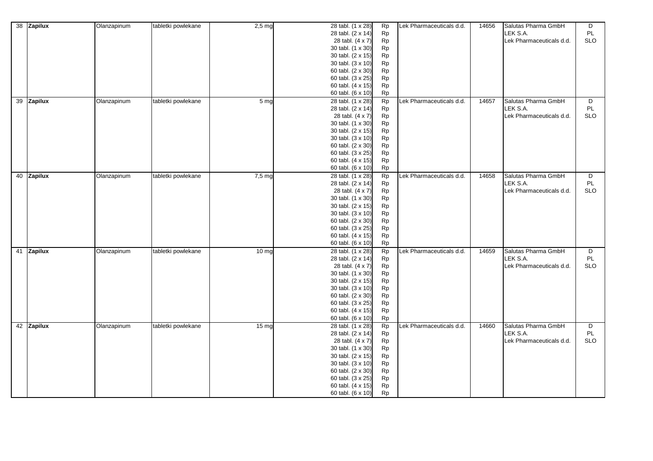| 38 Zapilux | Olanzapinum | tabletki powlekane | $2,5$ mg          | 28 tabl. (1 x 28)<br>28 tabl. (2 x 14)<br>28 tabl. (4 x 7)<br>30 tabl. (1 x 30)<br>30 tabl. (2 x 15)<br>30 tabl. (3 x 10)<br>60 tabl. (2 x 30)<br>60 tabl. (3 x 25)<br>60 tabl. (4 x 15)<br>60 tabl. (6 x 10) | Rp<br>Rp<br>Rp<br><b>Rp</b><br>Rp<br><b>Rp</b><br>Rp<br><b>Rp</b><br>Rp<br>Rp                      | Lek Pharmaceuticals d.d. | 14656 | Salutas Pharma GmbH<br>LEK S.A.<br>Lek Pharmaceuticals d.d. | D<br>PL<br><b>SLO</b> |
|------------|-------------|--------------------|-------------------|---------------------------------------------------------------------------------------------------------------------------------------------------------------------------------------------------------------|----------------------------------------------------------------------------------------------------|--------------------------|-------|-------------------------------------------------------------|-----------------------|
| 39 Zapilux | Olanzapinum | tabletki powlekane | 5 <sub>mg</sub>   | 28 tabl. (1 x 28)<br>28 tabl. (2 x 14)<br>28 tabl. (4 x 7)<br>30 tabl. (1 x 30)<br>30 tabl. (2 x 15)<br>30 tabl. (3 x 10)<br>60 tabl. (2 x 30)<br>60 tabl. (3 x 25)<br>60 tabl. (4 x 15)<br>60 tabl. (6 x 10) | <b>Rp</b><br>Rp<br>Rp<br>Rp<br>Rp<br>Rp<br>Rp<br>Rp<br>Rp<br>Rp                                    | Lek Pharmaceuticals d.d. | 14657 | Salutas Pharma GmbH<br>LEK S.A.<br>Lek Pharmaceuticals d.d. | D<br>PL<br><b>SLO</b> |
| 40 Zapilux | Olanzapinum | tabletki powlekane | 7.5 <sub>mg</sub> | 28 tabl. (1 x 28)<br>28 tabl. (2 x 14)<br>28 tabl. (4 x 7)<br>30 tabl. (1 x 30)<br>30 tabl. (2 x 15)<br>30 tabl. (3 x 10)<br>60 tabl. (2 x 30)<br>60 tabl. (3 x 25)<br>60 tabl. (4 x 15)<br>60 tabl. (6 x 10) | Rp<br>Rp<br><b>Rp</b><br><b>Rp</b><br>Rp<br><b>Rp</b><br>Rp<br>Rp<br>Rp<br><b>Rp</b>               | Lek Pharmaceuticals d.d. | 14658 | Salutas Pharma GmbH<br>LEK S.A.<br>Lek Pharmaceuticals d.d. | D<br>PL<br><b>SLO</b> |
| 41 Zapilux | Olanzapinum | tabletki powlekane | 10 <sub>mg</sub>  | 28 tabl. (1 x 28)<br>28 tabl. (2 x 14)<br>28 tabl. (4 x 7)<br>30 tabl. (1 x 30)<br>30 tabl. (2 x 15)<br>30 tabl. (3 x 10)<br>60 tabl. (2 x 30)<br>60 tabl. (3 x 25)<br>60 tabl. (4 x 15)<br>60 tabl. (6 x 10) | <b>Rp</b><br>Rp<br>Rp<br>Rp<br>Rp<br>Rp<br>Rp<br>Rp<br>Rp<br><b>Rp</b>                             | Lek Pharmaceuticals d.d. | 14659 | Salutas Pharma GmbH<br>LEK S.A.<br>Lek Pharmaceuticals d.d. | D<br>PL<br><b>SLO</b> |
| 42 Zapilux | Olanzapinum | tabletki powlekane | 15 <sub>ma</sub>  | 28 tabl. (1 x 28)<br>28 tabl. (2 x 14)<br>28 tabl. (4 x 7)<br>30 tabl. (1 x 30)<br>30 tabl. (2 x 15)<br>30 tabl. (3 x 10)<br>60 tabl. (2 x 30)<br>60 tabl. (3 x 25)<br>60 tabl. (4 x 15)<br>60 tabl. (6 x 10) | Rp<br>Rp<br>Rp<br>Rp<br><b>Rp</b><br><b>Rp</b><br><b>Rp</b><br><b>Rp</b><br><b>Rp</b><br><b>Rp</b> | Lek Pharmaceuticals d.d. | 14660 | Salutas Pharma GmbH<br>LEK S.A.<br>Lek Pharmaceuticals d.d. | D<br>PL<br><b>SLO</b> |